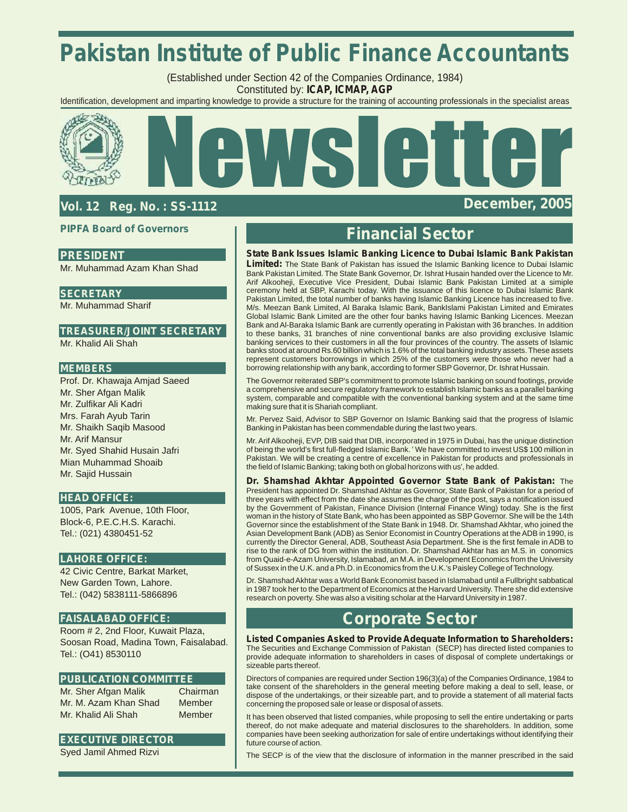# **Pakistan Institute of Public Finance Accountants**

(Established under Section 42 of the Companies Ordinance, 1984) Constituted by: **ICAP, ICMAP, AGP**

Identification, development and imparting knowledge to provide a structure for the training of accounting professionals in the specialist areas



# **Vol. 12 Reg. No. : SS-1112 December, 2005**

### **PIPFA Board of Governors**

## **PRESIDENT**

Mr. Muhammad Azam Khan Shad

### **SECRETARY**

Mr. Muhammad Sharif

## **TREASURER/JOINT SECRETARY**

Mr. Khalid Ali Shah

### **MEMBERS**

Prof. Dr. Khawaja Amjad Saeed Mr. Sher Afgan Malik Mr. Zulfikar Ali Kadri Mrs. Farah Ayub Tarin Mr. Shaikh Saqib Masood Mr. Arif Mansur Mr. Syed Shahid Husain Jafri Mian Muhammad Shoaib Mr. Sajid Hussain

#### **HEAD OFFICE:**

1005, Park Avenue, 10th Floor, Block-6, P.E.C.H.S. Karachi. Tel.: (021) 4380451-52

### **LAHORE OFFICE:**

42 Civic Centre, Barkat Market, New Garden Town, Lahore. Tel.: (042) 5838111-5866896

## **FAISALABAD OFFICE:**

Room # 2, 2nd Floor, Kuwait Plaza, Soosan Road, Madina Town, Faisalabad. Tel.: (O41) 8530110

### **PUBLICATION COMMITTEE**

Mr. Sher Afgan Malik Chairman Mr. M. Azam Khan Shad Member Mr. Khalid Ali Shah Member

### **EXECUTIVE DIRECTOR**

Syed Jamil Ahmed Rizvi

# **Financial Sector**

#### **State Bank Issues Islamic Banking Licence to Dubai Islamic Bank Pakistan**

**Limited:** The State Bank of Pakistan has issued the Islamic Banking licence to Dubai Islamic Bank Pakistan Limited. The State Bank Governor, Dr. Ishrat Husain handed over the Licence to Mr. Arif Alkooheji, Executive Vice President, Dubai Islamic Bank Pakistan Limited at a simiple ceremony held at SBP, Karachi today. With the issuance of this licence to Dubai Islamic Bank Pakistan Limited, the total number of banks having Islamic Banking Licence has increased to five. M/s. Meezan Bank Limited, Al Baraka Islamic Bank, BankIslami Pakistan Limited and Emirates Global Islamic Bank Limited are the other four banks having Islamic Banking Licences. Meezan Bank and Al-Baraka Islamic Bank are currently operating in Pakistan with 36 branches. In addition to these banks, 31 branches of nine conventional banks are also providing exclusive Islamic banking services to their customers in all the four provinces of the country. The assets of Islamic banks stood at around Rs.60 billion which is 1.6% of the total banking industry assets. These assets represent customers borrowings in which 25% of the customers were those who never had a borrowing relationship with any bank, according to former SBPGovernor, Dr. Ishrat Hussain.

The Governor reiterated SBP's commitment to promote Islamic banking on sound footings, provide a comprehensive and secure regulatory framework to establish Islamic banks as a parallel banking system, comparable and compatible with the conventional banking system and at the same time making sure that it is Shariah compliant.

Mr. Pervez Said, Advisor to SBP Governor on Islamic Banking said that the progress of Islamic Banking in Pakistan has been commendable during the last two years.

Mr. Arif Alkooheji, EVP, DIB said that DIB, incorporated in 1975 in Dubai, has the unique distinction of being the world's first full-fledged Islamic Bank. ' We have committed to invest US\$ 100 million in Pakistan. We will be creating a centre of excellence in Pakistan for products and professionals in the field of Islamic Banking; taking both on global horizons with us', he added.

**Dr. Shamshad Akhtar Appointed Governor State Bank of Pakistan:** The President has appointed Dr. Shamshad Akhtar as Governor, State Bank of Pakistan for a period of three years with effect from the date she assumes the charge of the post, says a notification issued by the Government of Pakistan, Finance Division (Internal Finance Wing) today. She is the first woman in the history of State Bank, who has been appointed as SBP Governor. She will be the 14th Governor since the establishment of the State Bank in 1948. Dr. Shamshad Akhtar, who joined the Asian Development Bank (ADB) as Senior Economist in Country Operations at the ADB in 1990, is currently the Director General, ADB, Southeast Asia Department. She is the first female in ADB to rise to the rank of DG from within the institution. Dr. Shamshad Akhtar has an M.S. in conomics from Quaid-e-Azam University, Islamabad, an M.A. in Development Economics from the University of Sussex in the U.K. and a Ph.D. in Economics from the U.K.'s Paisley College of Technology.

Dr. Shamshad Akhtar was a World Bank Economist based in Islamabad until a Fullbright sabbatical in 1987 took her to the Department of Economics at the Harvard University. There she did extensive research on poverty. She was also a visiting scholar at the Harvard University in 1987.

# **Corporate Sector**

**Listed Companies Asked to Provide Adequate Information to Shareholders:**  The Securities and Exchange Commission of Pakistan (SECP) has directed listed companies to provide adequate information to shareholders in cases of disposal of complete undertakings or sizeable parts thereof.

Directors of companies are required under Section 196(3)(a) of the Companies Ordinance, 1984 to take consent of the shareholders in the general meeting before making a deal to sell, lease, or dispose of the undertakings, or their sizeable part, and to provide a statement of all material facts concerning the proposed sale or lease or disposal of assets.

It has been observed that listed companies, while proposing to sell the entire undertaking or parts thereof, do not make adequate and material disclosures to the shareholders. In addition, some companies have been seeking authorization for sale of entire undertakings without identifying their future course of action.

The SECP is of the view that the disclosure of information in the manner prescribed in the said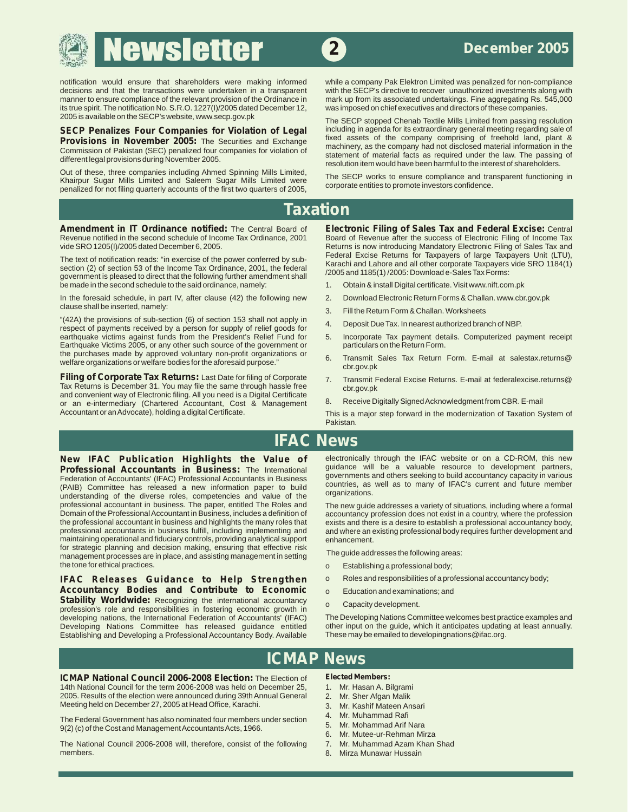decisions and that the transactions were undertaken in a transparent with the SECP's directive to recover unauthorized investments along with manner to ensure compliance of the relevant provision of the Ordinance in mark u its true spirit. The notification No. S.R.O. 1227(I)/2005 dated December 12, 2005 is available on the SECP's website, www.secp.gov.pk

Out of these, three companies including Antried Spinning wills Limited,<br>Khairpur Sugar Mills Limited and Saleem Sugar Mills Limited were<br>penalized for not filing quarterly accounts of the first two quarters of 2005,<br>penali

**Amendment in IT Ordinance notified:** The Central Board of **Electronic Filing of Sales Tax and Federal Excise:** Central

The text of notification reads: "in exercise of the power conferred by sub-<br>section (2) of section 53 of the Income Tax Ordinance, 2001, the federal<br>government is pleased to direct that the following further amendment shal be made in the second schedule to the said ordinance, namely:

In the foresaid schedule, in part IV, after clause (42) the following new 2. Download Electronic Return Forms & Challan. www.cbr.gov.pk<br>clause shall be inserted. namely:

"(42A) the provisions of sub-section (6) of section 153 shall not apply in 4. Deposit Due Tax. In nearest authorized branch of NBP. respect of payments received by a person for supply of relief goods for earthquake victims against funds from the President's Relief Fund for 5. Incorporate Tax payment details. Computerized payment receipt Earthquake Victims 2005, or any other such source of the government or particulars on the Return Form.

**Filing of Corporate Tax Returns:** Last Date for filing of Corporate 7. Transmit Federal Excise Returns. E-mail at federalexcise.returns@ Tax Returns is December 31. You may file the same through hassle free chr.gov.pk and convenient way of Electronic filing. All you need is a Digital Certificate and convention way of Licensian and School and School and School and School and School and School and School and School and School and School and School and School and School and School and School and School and School and Accountant or an Advocate), holding a digital Certificate. This is a major step forward in the modernization of Taxation System of

notification would ensure that shareholders were making informed while a company Pak Elektron Limited was penalized for non-compliance<br>decisions and that the transactions were undertaken in a transparent with the SECP's di mark up from its associated undertakings. Fine aggregating Rs. 545,000 was imposed on chief executives and directors of these companies.

The SECP stopped Chenab Textile Mills Limited from passing resolution<br>including in agenda for its extraordinary general meeting regarding sale of **SECP Penalizes Four Companies for Violation of Legal including in agenda for its extraordinary general meeting regarding sale of <b>Provisions in November 2005:** The Securities and Exchange fixed assets of the company compr From Subsection of Pakistan (SEC) penalized four companies for violation of<br>different legal provisions during November 2005.<br>Out of these, three companies including Ahmed Spinning Mills Limited,<br>Out of these, three compani

# **Taxation**

Revenue notified in the second schedule of Income Tax Ordinance, 2001 Board of Revenue after the success of Electronic Filing of Income Tax vide SRO 1205(I)/2005 dated December 6, 2005.<br>Returns is now introducing Mandatory Returns is now introducing Mandatory Electronic Filing of Sales Tax and<br>Federal Excise Returns for Taxpayers of Iarge Taxpayers Unit (LTU),

- 
- 
- 3. Fill the Return Form & Challan. Worksheets
- 
- 
- the purchases made by approved voluntary non-profit organizations or experiment Sales Tax Return Form. E-mail at salestax.returns@<br>welfare organizations or welfare bodies for the aforesaid purpose." cbr.gov.pk
	-
	-

Pakistan.

# **IFAC News**

**Professional Accountants in Business:** The International guidance will be a valuable resource to development partners, rederation of Accountants' (IFAC) Professional Accountants in Business governments and others seeking reutation of ACOUTHET CONDITIONS (PAIB) COMMITED A SUBSEXTED IN THE CONDUCTED IN THE CONDUCTED IN THE USE OF THE USE OF THE USE OF THE USE OF THE USE OF THE USE OF THE USE OF THE USE OF THE USE OF THE USE OF THE USE OF THE professional accountant in business. The paper, entitled The Roles and<br>Domain of the Professional Accountant in Business, includes a definition of accountancy profession does not exist in a country, where the profession the professional accountant in business and highlights the many roles that exists and there is a desire to establish a professional accountancy body, professional accountancy body, including implementing and and where an e maintaining operational and fiduciary controls, providing analytical support enhancement.<br>for strategic planning and decision making, ensuring that effective risk for strategic planning and decision making, ensuring that effective risk The guide addresses the following areas:<br>management processes are in place, and assisting management in setting The guide addresses the following are

**IFAC Releases Guidance to Help Strengthen** o Roles and responsibilities of a professional accountancy body; **Accountancy Bodies and Contribute to Economic** o Education and examinations; and **Stability Worldwide:** Recognizing the international accountancy o Conceity development **Stability Worldwide:** Recognizing the international accountancy of Capacity development.<br>
profession's role and responsibilities in fostering economic growth in<br>
developing nations, the International Federation of Account developing nations, the International Federation of Accountants' (IFAC) The Developing Nations Committee welcomes best practice examples and<br>Developing Nations Committee has released quidance entitled other input on the qu Developing Nations Committee has released guidance entitled other input on the guide, which it anticipates updating<br>Establishing and Developing a Professional Accountancy Body. Available These may be emailed to developingn Establishing and Developing a Professional Accountancy Body. Available

**New IFAC Publication Highlights the Value of** electronically through the IFAC website or on a CD-ROM, this new **Professional Accountants** in **Business:** The International guidance will be a valuable resource to developmen

Domain of the Professional Accountant in Business, includes a definition of accountancy profession does not exist in a country, where the profession<br>the professional accountant in business and highlights the many roles tha and where an existing professional body requires further development and

- o Establishing a professional body;
- 
- 
- 

# **ICMAP News**

**ICMAP National Council 2006-2008 Election:** The Election of Elected Members:<br>14th National Council for the term 2006-2008 was held on December 25, 1. Mr. Hasan A. Bilgrami 14th National Council for the term 2006-2008 was held on December 25, 2005. Results of the election were announced during 39th Annual General 2. Mr. Sher Afgan Malik Meeting held on December 27, 2005 at Head Office, Karachi. 3. Mr. Kashif Mateen Ansari<br>The Theodore Mateur Ansari Mateur Ansari 2007, 2007, 2008, 2009, 2009, 2009, 2009, 2009, 2009, 2009, 2009, 200

1. Mr. Muhammad Rafi The Federal Government has also nominated four members under section and Management Accountants Acts, 1966.<br>1960. Mr. Mohammad Arif Nara 9(2) (c) of the Cost and Management Accountants Acts, 1966.

The National Council 2006-2008 will, therefore, consist of the following 7. Mr. Muhammad Azam Khan Shad<br>members. 8 Mirza Munawar Hussain

- 
- 
- 
- 
- 
- 6. Mr. Mutee-ur-Rehman Mirza
- 
- 8. Mirza Munawar Hussain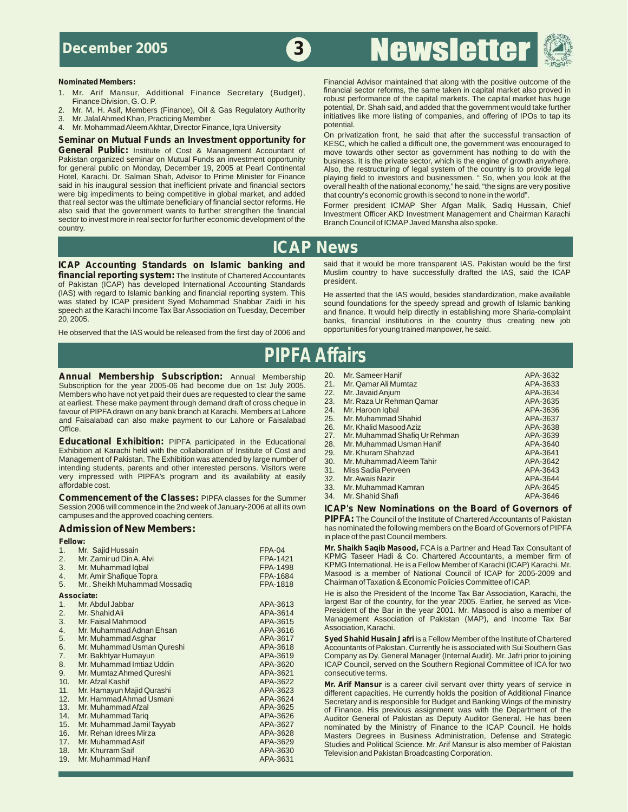# ewslette



- 1. Mr. Arif Mansur, Additional Finance Secretary (Budget), Finance Division, G.O.P.
- 2. Mr. M. H. Asif, Members (Finance), Oil & Gas Regulatory Authority<br>3. Mr. Jalal Ahmed Khan, Practicing Member
- 
- Mr. Mohammad Aleem Akhtar, Director Finance, Iqra University<br>miner on Mutual Eunde on Investment opportunity for Comprivatization front, he said that after the successful transaction of

**Seminar on Mutual Funds an Investment opportunity for** Seminary and The Sale that after the successful transaction of **Seminar on Mutual Funds and Investment operation** of **General Public:** Institute of Cost & Management **General Public:** Institute of Cost & Management Accountant of move towards other sector as government has nothing to do with the Pakistan organized seminar on Mutual Funds an investment opportunity business. It is the pri Pakistan organized seminar on Mutual Funds an investment opportunity business. It is the private sector, which is the engine of growth anywhere.<br>For general public on Monday, December 19, 2005 at Pearl Continental Also, th said in his inaugural session that inefficient private and financial sectors overall health of the national economy," he said, "the signs are very positive<br>were big impediments to being competitive in global market, and ad were big impediments to being competitive in global market, and added that real sector was the ultimate beneficiary of financial sector reforms. He that real sector was the ultimate beneficiary of financial sector reforms. He Former president ICMAP Sher Afgan Malik, Sadiq Hussain, Chief<br>also said that the government wants to further strengthen the financial unustment sector to invest more in real sector for further economic development of the country.

**Nominated Members:**<br>1 Mr. Arif Mansur, Additional Finance Secretary (Budget) financial sector reforms, the same taken in capital market also proved in robust performance of the capital markets. The capital market has huge potential, Dr. Shah said, and added that the government would take further Extra in the more listing of companies, and offering of IPOs to tap its 3. Mr. Jalal Ahmed Khan, Practicing Member<br>3. Mr. Mohammad Aleem Akhtar Director Finance Jora University potential.

for general public on Monday, December 19, 2005 at Pearl Continental Also, the restructuring of legal system of the country is to provide legal Hotel, Karachi. Dr. Salman Shah, Advisor to Prime Minister for Finance playing field to investors and businessmen. " So, when you look at the

Investment Officer AKD Investment Management and Chairman Karachi<br>Branch Council of ICMAP Javed Mansha also spoke.

# **ICAP News**

**Financial reporting system:** The Institute of Chartered Accountants Muslim Computer of Pakistan (ICAP) has developed International Accounting Standards president. (IAS) with regard to Islamic banking and financial reporting system. This He asserted that the IAS would, besides standardization, make available<br>was stated by ICAP president Syed Mohammad Shabbar Zaidi in his sound founda was stated by ICAP president Syed Mohammad Shabbar Zaidi in his sound foundations for the speedy spread and growth of Islamic banking<br>speech at the Karachi Income Tax Bar Association on Tuesday, December and finance. It wo speech at the Karachi Income Tax Bar Association on Tuesday, December and finance. It would help directly in establishing more Sharia-complaint<br>20. 2005.

He observed that the IAS would be released from the first day of 2006 and opportunities for young trained manpower, he said.

**ICAP Accounting Standards on Islamic banking and** said that it would be more transparent IAS. Pakistan would be the first **ICAP**<br>**In ancial reporting system:** The lostitute of Chartered Accountants Muslim country to have

banks, financial institutions in the country thus creating new job

# **PIPFA Affairs**

**Annual Membership Subscription:** Annual Membership 20. Mr. Sameer Hanif APA-3632<br>
Subscription for the year 2005-06 had become due on 1st July 2005 21. Mr. Qamar Ali Mumtaz Subscription for the year 2005-06 had become due on 1st July 2005. 21. Mr. Qamar Ali Mumtaz APA-3633<br>Members who have not yet paid their dues are requested to clear the same 22. Mr. Javaid Anjum Members who have not yet paid their dues are requested to clear the same 22. Mr. Javaid Anjum Members who have not yet paid their dues are requested to clear the same 23. Mr. Raza Ur Rehman Qamar APA-3635 APA-3635 at earliest. These make payment through demand draft of cross cheque in 23. Mr. Raza Ur Rehman Qamar Aparticle<br>19 APA-3636 APA-3636 APA-3636 APA-3636 APA-3636 APA-3636 APA-3636 APA-3636 APA-3636 APA-3636 APA-3636 APA-3636 favour of PIPFA drawn on any bank branch at Karachi. Members at Lahore 24. Mr. Haroon Iqbal Apal Apal APA-3636<br>25. And Faisalabad can also make payment to our Lahore or Faisalabad 25. Mr. Muhammad Shahid and Faisalabad can also make payment to our Lahore or Faisalabad 25. Mr. Muhammad Shahid<br>26. Mr. Khalid Masood Aziz APA-3638 APA-3638

**27. Mr. Muhammad Shafiq Exhibition:** PIPFA participated in the Educational 28. Mr. Muhammad Uram Hanif APA-3640<br>Exhibition at Karachi held with the collaboration of Institute of Cost and 29. Mr. Khuram Shahzad Exhibition at Karachi held with the collaboration of Institute of Cost and 29. Mr. Khuram Shahzad APA-3641 Management of Pakistan. The Exhibition was attended by large number of 30. Mr. Muhammad Aleem Tahir APA-3642 intending students, parents and other interested persons. Visitors were 31. Miss Sadia Perveen APA-3643<br>1944-3643 very impressed with PIPFA's program and its availability at easily 32. Mr. Awais Nazir

**Commencement of the Classes:** PIPFA classes for the Summer Session 2006 will commence in the 2nd week of January-2006 at all its own Session 2006 will commence in the 2nd week of January-2006 at all its own **ICAP's New Nominations on the Board of Governors of** 

| Mr. Sajid Hussain             | <b>FPA-04</b> |
|-------------------------------|---------------|
| Mr. Zamir ud Din A. Alvi      | FPA-1421      |
| Mr. Muhammad Iqbal            | FPA-1498      |
| Mr. Amir Shafique Topra       | FPA-1684      |
| Mr., Sheikh Muhammad Mossadig | FPA-1818      |
| Associate:                    |               |
| Mr. Abdul Jabbar              | APA-3613      |
| Mr. Shahid Ali                | APA-3614      |
| Mr. Faisal Mahmood            | APA-3615      |
| Mr. Muhammad Adnan Ehsan      | APA-3616      |
| Mr. Muhammad Asghar           | APA-3617      |
| Mr. Muhammad Usman Qureshi    | APA-3618      |
| Mr. Bakhtyar Humayun          | APA-3619      |
| Mr. Muhammad Imtiaz Uddin     | APA-3620      |
| Mr. Mumtaz Ahmed Qureshi      | APA-3621      |
| Mr. Afzal Kashif              | APA-3622      |
| Mr. Hamayun Majid Qurashi     | APA-3623      |
| Mr. Hammad Ahmad Usmani       | APA-3624      |
| Mr. Muhammad Afzal            | APA-3625      |
| Mr. Muhammad Tariq            | APA-3626      |
| Mr. Muhammad Jamil Tayyab     | APA-3627      |
| Mr. Rehan Idrees Mirza        | APA-3628      |
| Mr. Muhammad Asif             | APA-3629      |
| 18. Mr. Khurram Saif          | APA-3630      |
| Mr. Muhammad Hanif            | APA-3631      |
|                               |               |

Office. And the matter payment to but but the contract of the contract of the contract of the contract of the contract of the contract of the contract of the contract of the contract of the contract of the contract of the very impressed with PIPFA's program and its availability at easily and the water was Nazir and the APA-3644<br>affordable.cost. APA-3644 affordable.cost. APA-3645 affordable cost. 33. Mr. Muhammad Kamran APA-3645<br>1994 - Mr. Shahid Shafi

PIPFA: The Council of the Institute of Chartered Accountants of Pakistan **Admission of New Members:** https://www.has nominated the following members on the Board of Governors of PIPFA in place of the past Council members. **Fellow:** 

**Mr. Shaikh Saqib Masood, FCA is a Partner and Head Tax Consultant of** KPMG Taseer Hadi & Co. Chartered Accountants, a member firm of KPMG International. He is a Fellow Member of Karachi (ICAP) Karachi. Mr. Masood is a member of National Council of ICAP for 2005-2009 and Chairman of Taxation & Economic Policies Committee of ICAP.

**Associate:** He is also the President of the Income Tax Bar Association, Karachi, the largest Bar of the country, for the year 2005. Earlier, he served as Vice-President of the Bar in the year 2001. Mr. Masood is also a member of Management Association of Pakistan (MAP), and Income Tax Bar. Association, Karachi.

Syed Shahid Husain Jafri is a Fellow Member of the Institute of Chartered Accountants of Pakistan. Currently he is associated with Sui Southern Gas Company as Dy. General Manager (Internal Audit). Mr. Jafri prior to joining ICAP Council, served on the Southern Regional Committee of ICA for two consecutive terms.

Mr. Arif Mansur is a career civil servant over thirty years of service in different capacities. He currently holds the position of Additional Finance Secretary and is responsible for Budget and Banking Wings of the ministry of Finance. His previous assignment was with the Department of the Auditor General of Pakistan as Deputy Auditor General. He has been nominated by the Ministry of Finance to the ICAP Council. He holds Masters Degrees in Business Administration, Defense and Strategic Studies and Political Science. Mr. Arif Mansur is also member of Pakistan Television and Pakistan Broadcasting Corporation.